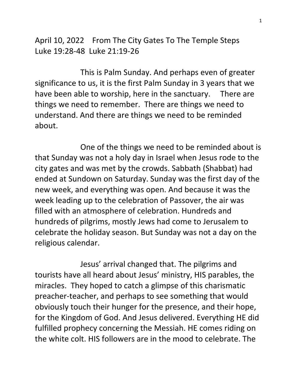April 10, 2022 From The City Gates To The Temple Steps Luke 19:28-48 Luke 21:19-26

 This is Palm Sunday. And perhaps even of greater significance to us, it is the first Palm Sunday in 3 years that we have been able to worship, here in the sanctuary. There are things we need to remember. There are things we need to understand. And there are things we need to be reminded about.

 One of the things we need to be reminded about is that Sunday was not a holy day in Israel when Jesus rode to the city gates and was met by the crowds. Sabbath (Shabbat) had ended at Sundown on Saturday. Sunday was the first day of the new week, and everything was open. And because it was the week leading up to the celebration of Passover, the air was filled with an atmosphere of celebration. Hundreds and hundreds of pilgrims, mostly Jews had come to Jerusalem to celebrate the holiday season. But Sunday was not a day on the religious calendar.

 Jesus' arrival changed that. The pilgrims and tourists have all heard about Jesus' ministry, HIS parables, the miracles. They hoped to catch a glimpse of this charismatic preacher-teacher, and perhaps to see something that would obviously touch their hunger for the presence, and their hope, for the Kingdom of God. And Jesus delivered. Everything HE did fulfilled prophecy concerning the Messiah. HE comes riding on the white colt. HIS followers are in the mood to celebrate. The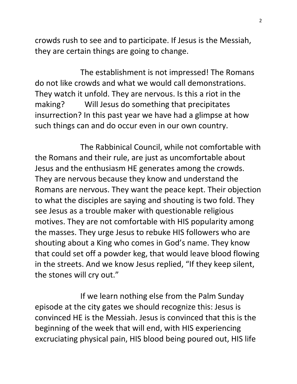crowds rush to see and to participate. If Jesus is the Messiah, they are certain things are going to change.

 The establishment is not impressed! The Romans do not like crowds and what we would call demonstrations. They watch it unfold. They are nervous. Is this a riot in the making? Will Jesus do something that precipitates insurrection? In this past year we have had a glimpse at how such things can and do occur even in our own country.

 The Rabbinical Council, while not comfortable with the Romans and their rule, are just as uncomfortable about Jesus and the enthusiasm HE generates among the crowds. They are nervous because they know and understand the Romans are nervous. They want the peace kept. Their objection to what the disciples are saying and shouting is two fold. They see Jesus as a trouble maker with questionable religious motives. They are not comfortable with HIS popularity among the masses. They urge Jesus to rebuke HIS followers who are shouting about a King who comes in God's name. They know that could set off a powder keg, that would leave blood flowing in the streets. And we know Jesus replied, "If they keep silent, the stones will cry out."

 If we learn nothing else from the Palm Sunday episode at the city gates we should recognize this: Jesus is convinced HE is the Messiah. Jesus is convinced that this is the beginning of the week that will end, with HIS experiencing excruciating physical pain, HIS blood being poured out, HIS life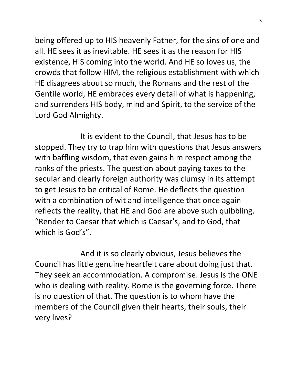being offered up to HIS heavenly Father, for the sins of one and all. HE sees it as inevitable. HE sees it as the reason for HIS existence, HIS coming into the world. And HE so loves us, the crowds that follow HIM, the religious establishment with which HE disagrees about so much, the Romans and the rest of the Gentile world, HE embraces every detail of what is happening, and surrenders HIS body, mind and Spirit, to the service of the Lord God Almighty.

 It is evident to the Council, that Jesus has to be stopped. They try to trap him with questions that Jesus answers with baffling wisdom, that even gains him respect among the ranks of the priests. The question about paying taxes to the secular and clearly foreign authority was clumsy in its attempt to get Jesus to be critical of Rome. He deflects the question with a combination of wit and intelligence that once again reflects the reality, that HE and God are above such quibbling. "Render to Caesar that which is Caesar's, and to God, that which is God's".

 And it is so clearly obvious, Jesus believes the Council has little genuine heartfelt care about doing just that. They seek an accommodation. A compromise. Jesus is the ONE who is dealing with reality. Rome is the governing force. There is no question of that. The question is to whom have the members of the Council given their hearts, their souls, their very lives?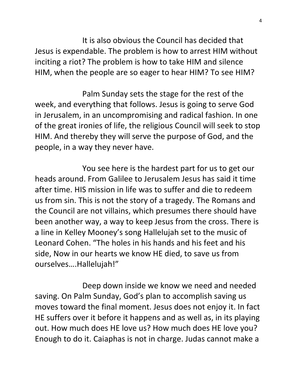It is also obvious the Council has decided that Jesus is expendable. The problem is how to arrest HIM without inciting a riot? The problem is how to take HIM and silence HIM, when the people are so eager to hear HIM? To see HIM?

 Palm Sunday sets the stage for the rest of the week, and everything that follows. Jesus is going to serve God in Jerusalem, in an uncompromising and radical fashion. In one of the great ironies of life, the religious Council will seek to stop HIM. And thereby they will serve the purpose of God, and the people, in a way they never have.

 You see here is the hardest part for us to get our heads around. From Galilee to Jerusalem Jesus has said it time after time. HIS mission in life was to suffer and die to redeem us from sin. This is not the story of a tragedy. The Romans and the Council are not villains, which presumes there should have been another way, a way to keep Jesus from the cross. There is a line in Kelley Mooney's song Hallelujah set to the music of Leonard Cohen. "The holes in his hands and his feet and his side, Now in our hearts we know HE died, to save us from ourselves….Hallelujah!"

 Deep down inside we know we need and needed saving. On Palm Sunday, God's plan to accomplish saving us moves toward the final moment. Jesus does not enjoy it. In fact HE suffers over it before it happens and as well as, in its playing out. How much does HE love us? How much does HE love you? Enough to do it. Caiaphas is not in charge. Judas cannot make a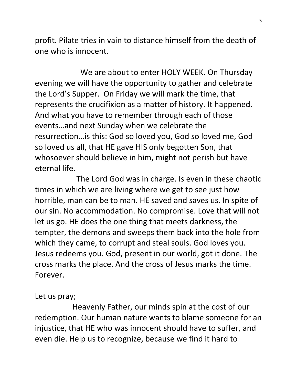profit. Pilate tries in vain to distance himself from the death of one who is innocent.

 We are about to enter HOLY WEEK. On Thursday evening we will have the opportunity to gather and celebrate the Lord's Supper. On Friday we will mark the time, that represents the crucifixion as a matter of history. It happened. And what you have to remember through each of those events…and next Sunday when we celebrate the resurrection…is this: God so loved you, God so loved me, God so loved us all, that HE gave HIS only begotten Son, that whosoever should believe in him, might not perish but have eternal life.

 The Lord God was in charge. Is even in these chaotic times in which we are living where we get to see just how horrible, man can be to man. HE saved and saves us. In spite of our sin. No accommodation. No compromise. Love that will not let us go. HE does the one thing that meets darkness, the tempter, the demons and sweeps them back into the hole from which they came, to corrupt and steal souls. God loves you. Jesus redeems you. God, present in our world, got it done. The cross marks the place. And the cross of Jesus marks the time. Forever.

## Let us pray;

 Heavenly Father, our minds spin at the cost of our redemption. Our human nature wants to blame someone for an injustice, that HE who was innocent should have to suffer, and even die. Help us to recognize, because we find it hard to